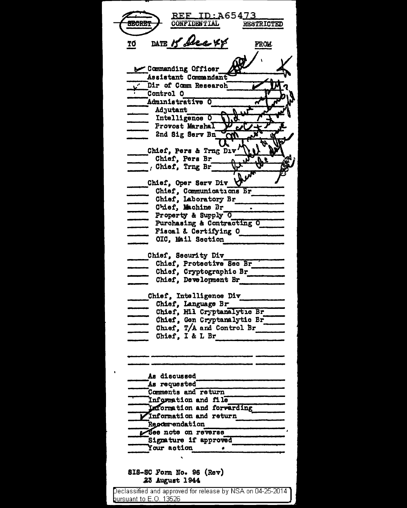<u>REF ID:A65473</u> **CONFIDENTIAL** RESTRICTED DATE 15 Dec 44 TO **FROM** Commanding Officer Assistant Commandant Dir of Comm Research Control O Administrative O Adjutant Intelligence O Provost Marshal 2nd Sig Serv Bn l T Chief, Pers & Trng Div Chief, Pers Br  $\overline{\phantom{a}}$ , Chief, Trng Br Chief, Oper Serv Div Chief, Communications Br<br>
Chief, Laboratory Br<br>
Chief, Laboratory Br<br>
Property & Supply O<br>
Purchasing & Contracting O<br>
Fiscal & Certifying O<br>
OIC, Mail Section Chief. Communications Br Chief, Security Div Chief, Protective Sec Br Chief, Cryptographic Br Chief, Development Br Chief, Intelligence Div Chief, Language Br<br>
- Chief, Hil Cryptanalytic Br<br>
- Chief, Gon Cryptanalytic Br<br>
- Chief, T/A and Control Br<br>
- Chief, T/A and Control Br Chief, I & L Br As discussed As requested Comments and return Information and file Laformation and forwarding Information and return Repommendation See note on reverse Signature if approved Your action  $\bullet$ SIS-SC Form No. 96 (Rev) 23 August 1944 Declassified and approved for release by NSA on 04-25-2014 pursuant to E.O. 13526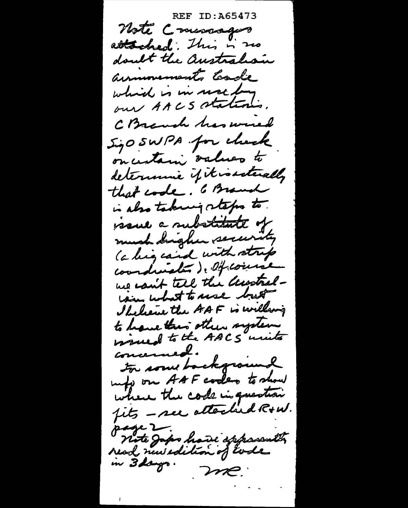**REF ID: A65473** Note Commagns attached. This is no doubt the australian annouments toade which is in moltons. C Branch has world SizO SWPA for clock oncentario values to determine if it is steally that code. 6 Branch is also taking retagns to resul a substitute of much drigher security (a ling cand with strip coordinates). Of course we can't tell the accostralcome what to use but Shelene the AAF is willwig to have this other system concerned. to some background may on AAF codes to show where the code in question fits - see attached R+W. page 2. nete Japo have apparently in 3 days. me.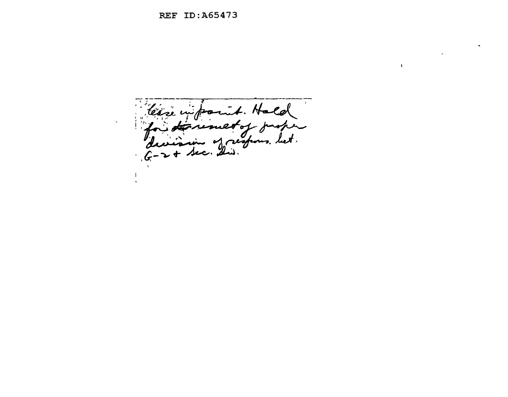$\sim 10^{-1}$ levre un point. Hald  $f_n$ toremet of y let.  $G \mathbf{I}$ 

 $\label{eq:2.1} \frac{1}{\sqrt{2}}\left(\frac{1}{\sqrt{2}}\right)^{2} \left(\frac{1}{\sqrt{2}}\right)^{2} \left(\frac{1}{\sqrt{2}}\right)^{2} \left(\frac{1}{\sqrt{2}}\right)^{2} \left(\frac{1}{\sqrt{2}}\right)^{2} \left(\frac{1}{\sqrt{2}}\right)^{2} \left(\frac{1}{\sqrt{2}}\right)^{2} \left(\frac{1}{\sqrt{2}}\right)^{2} \left(\frac{1}{\sqrt{2}}\right)^{2} \left(\frac{1}{\sqrt{2}}\right)^{2} \left(\frac{1}{\sqrt{2}}\right)^{2} \left(\$ 

 $\mathbf{t}$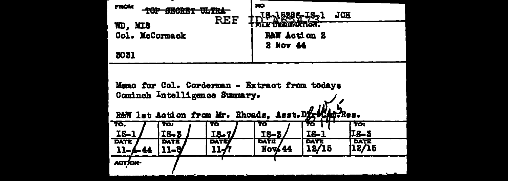| <b>FROM</b>                                                                                                                          |               | <b>REF</b>  | <b>NO</b><br>J8-15296-IS-1 |              | JCH         |  |  |
|--------------------------------------------------------------------------------------------------------------------------------------|---------------|-------------|----------------------------|--------------|-------------|--|--|
| WD, MIS                                                                                                                              |               |             |                            |              |             |  |  |
| Col. McCormack                                                                                                                       |               |             |                            | RAW Action 2 |             |  |  |
|                                                                                                                                      |               |             | 2 Nov 44                   |              |             |  |  |
| 3031                                                                                                                                 |               |             |                            |              |             |  |  |
| Memo for Col. Corderman - Extract from todays<br>Cominch Intelligence Summary.<br>R&W lst Action from Mr. Rhoads, Asst. Dix!<br>Res. |               |             |                            |              |             |  |  |
| TO.<br>$1S-1$                                                                                                                        | TO:<br>$IS-5$ | 70<br>IS-7, | 70<br>IS-3                 | 10<br>IS-1   | TO:<br>IS-3 |  |  |
| <b>DATE</b>                                                                                                                          | DATE          | DATE        | <b>DATE</b>                | <b>DATE</b>  | DATE        |  |  |
| $11 - 4 - 44$                                                                                                                        | 11-8          | 11-6        | Nov 44                     | 12/15        | 12/15       |  |  |
| ACTION-                                                                                                                              |               |             |                            |              |             |  |  |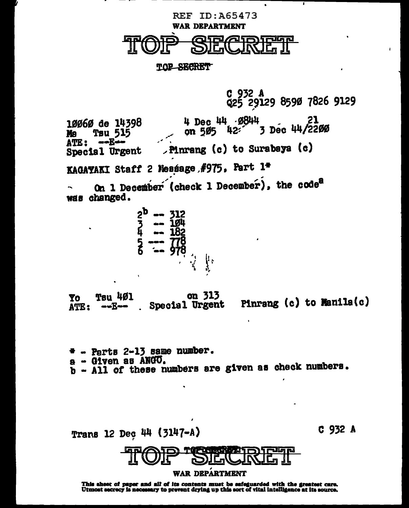

 $\mathbf{r}$ 

KAGAYAKI Staff 2 Message #975, Part 1\*

On 1 December (check 1 December), the code<sup>8</sup> was changed.

$$
\begin{array}{l}\n \stackrel{2}{\cancel{5}} & \stackrel{\text{12}}{\cancel{10}} \\
 \stackrel{\text{12}}{\cancel{5}} & \stackrel{\text{12}}{\cancel{10}} \\
 \stackrel{\text{12}}{\cancel{5}} & \stackrel{\text{12}}{\cancel{10}} \\
 \stackrel{\text{12}}{\cancel{5}} & \stackrel{\text{12}}{\cancel{10}} \\
 \stackrel{\text{12}}{\cancel{5}} & \stackrel{\text{12}}{\cancel{10}} \\
 \stackrel{\text{12}}{\cancel{10}} & \stackrel{\text{12}}{\cancel{10}} \\
 \stackrel{\text{12}}{\cancel{10}} & \stackrel{\text{12}}{\cancel{10}} \\
 \stackrel{\text{12}}{\cancel{10}} & \stackrel{\text{12}}{\cancel{10}} \\
 \stackrel{\text{12}}{\cancel{10}} & \stackrel{\text{12}}{\cancel{10}} \\
 \stackrel{\text{12}}{\cancel{10}} & \stackrel{\text{12}}{\cancel{10}} \\
 \stackrel{\text{12}}{\cancel{10}} & \stackrel{\text{12}}{\cancel{10}} \\
 \stackrel{\text{12}}{\cancel{10}} & \stackrel{\text{12}}{\cancel{10}} \\
 \stackrel{\text{12}}{\cancel{10}} & \stackrel{\text{12}}{\cancel{10}} \\
 \stackrel{\text{12}}{\cancel{10}} & \stackrel{\text{12}}{\cancel{10}} \\
 \stackrel{\text{12}}{\cancel{10}} & \stackrel{\text{12}}{\cancel{10}} \\
 \stackrel{\text{12}}{\cancel{10}} & \stackrel{\text{12}}{\cancel{10}} \\
 \stackrel{\text{12}}{\cancel{10}} & \stackrel{\text{12}}{\cancel{10}} \\
 \stackrel{\text{12}}{\cancel{10}} & \stackrel{\text{12}}{\cancel{10}} \\
 \stackrel{\text{12}}{\cancel{10}} & \stackrel{\text{12}}{\cancel{10}} \\
 \stackrel{\text{12}}{\cancel{10}} & \stackrel{\text{12}}{\cancel{10}} \\
 \stackrel{\text{12}}{\cancel{10}} & \stackrel{\text{12}}{\cancel{10}} \\
 \stackrel{\text{12}}{\cancel{10}} & \stackrel{\text{12}}{\cancel{10}} \\
 \stackrel{\text{12}}{\cancel{
$$

on 313 **Tau 401** Yo Pinrang (c) to Manila(c) Special Urgent ATE:  $\bullet\bullet E\bullet\bullet$ 

 $\texttt{+}$  - Parts 2-13 same number. a - Given as ANGO. b - All of these numbers are given as check numbers.

C 932 A Trans 12 Dec 44 (3147-A) **WAR DEPARTMENT** 

This aheet of paper and all of its contents must be safeguarded with the greatest care.<br>Utmost secrecy is necessary to prevent drying up this sort of vital intelligence at its source.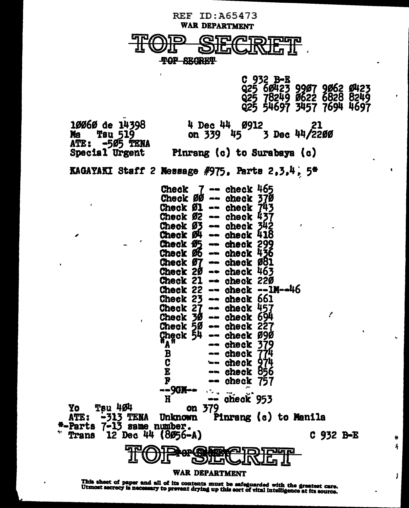

This sheet of paper and all of its contents must be safeguarded with the greatest care.<br>Utmost secrecy is necessary to prevent drying up this sort of vital intelligence at its source.

 $\bullet$ £.

 $\mathbf{I}$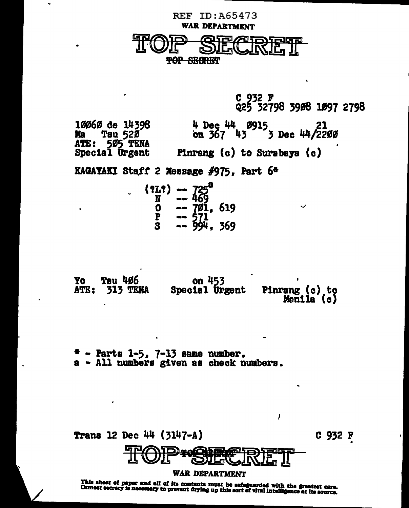

C 932 F<br>Q25 32798 3908 1097 2798 4 Dec 44 Ø915 21<br>on 367 43 3 Dec 44/2200 10060 de 14398 Tsu 520 **Ma** ATE: Special Urgent Pinrang (c) to Surabaya (c)

KAGAYAKI Staff 2 Message #975, Part 6#

| (213) | $-725$<br>$-469$                     |  |
|-------|--------------------------------------|--|
|       |                                      |  |
|       |                                      |  |
| D     |                                      |  |
|       | -- 701, 619<br>-- 571<br>-- 994, 369 |  |

| Yo | Tsu 406              | on 453         |                              |
|----|----------------------|----------------|------------------------------|
|    | <b>ATE: 313 TENA</b> | Special Urgent | Pinrang (c) to<br>Manila (c) |

 $*$  - Parts 1-5, 7-13 same number.<br>a - All numbers given as check numbers.



I

This sheet of paper and all of its contents must be safeguarded with the greatest care.<br>Utmost secrecy is necessary to prevent drying up this sort of vital intelligence at its source.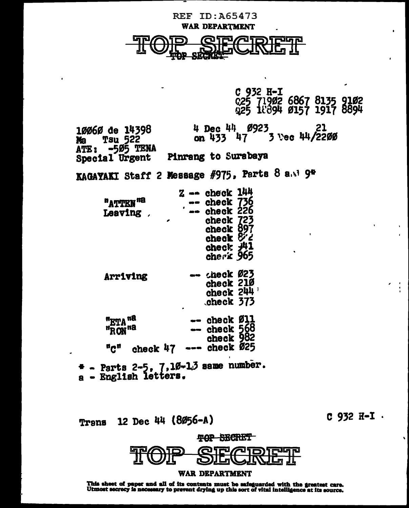

C 932 H-I 025 71902 6867 8135 9102<br>025 18894 0157 1917 8894

4 Dec 44 0923 21<br>on 433 47 3 Vec 44/2200 10060 de 14398 **Tsu 522** Ma ATE: - 505 TENA Pinrang to Surabaya Special Urgent

KAGAYAKI Staff 2 Message #975, Parts 8 a.v? 9\*

|                       | z   | check 144   |  |
|-----------------------|-----|-------------|--|
| "ATTEN" <sup>18</sup> |     | check 736   |  |
| Leaving               | ٠   | check 226   |  |
|                       |     | check 723   |  |
|                       |     | check 897   |  |
|                       |     | check & 2   |  |
|                       |     | check 光1    |  |
|                       |     | cherk 965   |  |
| Arriving              |     | check Ø23   |  |
|                       |     | check 21Ø   |  |
|                       |     | check 244 ' |  |
|                       |     | check 373   |  |
| "ETA " <sup>8</sup>   |     | check Ø11   |  |
| "RON <sup>na</sup>    |     | check 568   |  |
|                       |     | check 982   |  |
| ″Ω″<br>check 47       |     | check Ø25   |  |
|                       | ד ר |             |  |

+ - Parts 2-5, 7,10-10 same number<br>a - English letters.

12 Dec 44 (8056-А) Trans

 $C$  932  $H - I$ .



This sheet of paper and all of its contents must be safeguarded with the greatest care.<br>Utmost secrecy is necessary to prevent drying up this sort of vital intelligence at its source.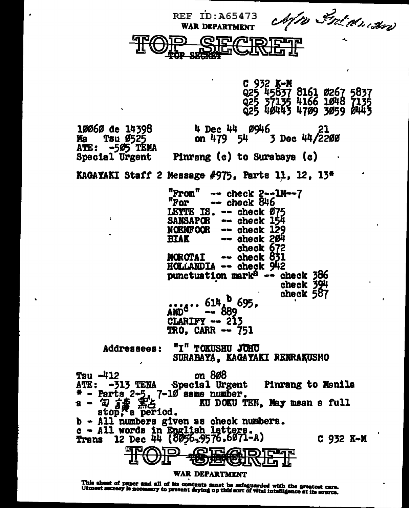REF ID:A65473 *Afte Strichnass* 



C 932 K**-M**<br>Q25 45<u>837 8161 0267 5837</u>  $QZ5$  3(135 4166 1048 (135 Q25 40443 4709 3059 0443 18868 de 14398 4 Dec 44 89li6 ~l Ma Tsu 1525 on 479 54 *3* Dec 44/2219 ATE: -5Ø5 TÉNA<br>Special Urgent Pinrang  $(c)$  to Surabaya  $(c)$ KAGAYAKI Staff 2 Message  $#975$ , Parts 11, 12, 13<sup>0</sup> "From" -- check 2--1M--7<br>"For -- check 846  $\rightarrow$  check 846 LEYTE IS. -- check 075<br>SANSAPOR -- check 154<br>NOEMFOOR -- check 129 NOBMFOOR -- check 129<br>BIAK -- check 204<br>check 672 morotai -- check 831<br>HOLLANDIA -- check 942 punctuation mark $a -$  check 386 • check 394 check 587  $614<sup>b</sup>$  695,  $AND<sup>c</sup>$  --  $889$ <br>CLARIFY -- 213 TRO, CARR -- 751 Addressees: "I" TOKUSHU JOHO<br>SURABAYA, KAGAYAKI RENRAKUSHO Tsu -412<br>ATE: -313 TENA Special Ur Special Urgent Pinrang to Manila • - Parts 2•5-. 7-18 same number. 11 - *'iJ ti* -,,0, Im DOIU TBU, *11&1* mean a full s - 2  $\frac{15}{100}$   $\frac{12}{100}$  . KU DOKU TEN, May mean a full<br>b - All numbers given as check numbers.  $c -$  All words in English letters. Trans 12 Dec 44 (8056,9576.6071-A) C 932 K-M ,9576,6071-А) с 932 К-**М**<br>@Id<u>@Id</u>Tonfelgrei

WAR DEPARTMENT<br>This sheet of paper and all of its contents must be safeguarded with the greatest care.<br>Utmost secrecy is necessary to prevent drying up this sort of vital intelligence at its source.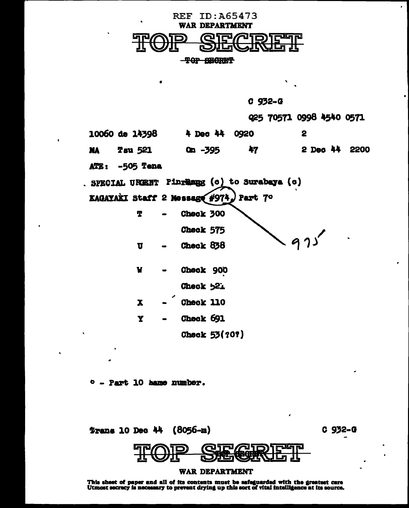

| 932-<br>-20 | п |
|-------------|---|
|-------------|---|

025 70571 0998 4540 0571 10060 de 14398 4 Dec 44 0920  $\mathbf{2}$ 2 Dec 44 2200 **Tsu 521**  $On -395$ 47 **MA** -505 Tena ATE: . SPECIAL UREENT Pinrearg (c) to Surabaya (c) KAGAYAKI Staff 2 Message #974. Part 7° T Check 300 Check 575 Check 838  $\mathbf{u}$ W Check 900

Check 521 Check 110

Check 691 Y

Check 53(?0?)

 $P = Part$  10 same number.

 $\mathbf x$ 

**Trans 10 Dec 44 (8056-m)** 

 $C$  932- $C$ 



## WAR DEPARTMENT

This sheet of paper and all of its contents must be safeguarded with the greatest care<br>Utmost secrecy is necessary to prevent drying up this sort of vital intelligence at its source.